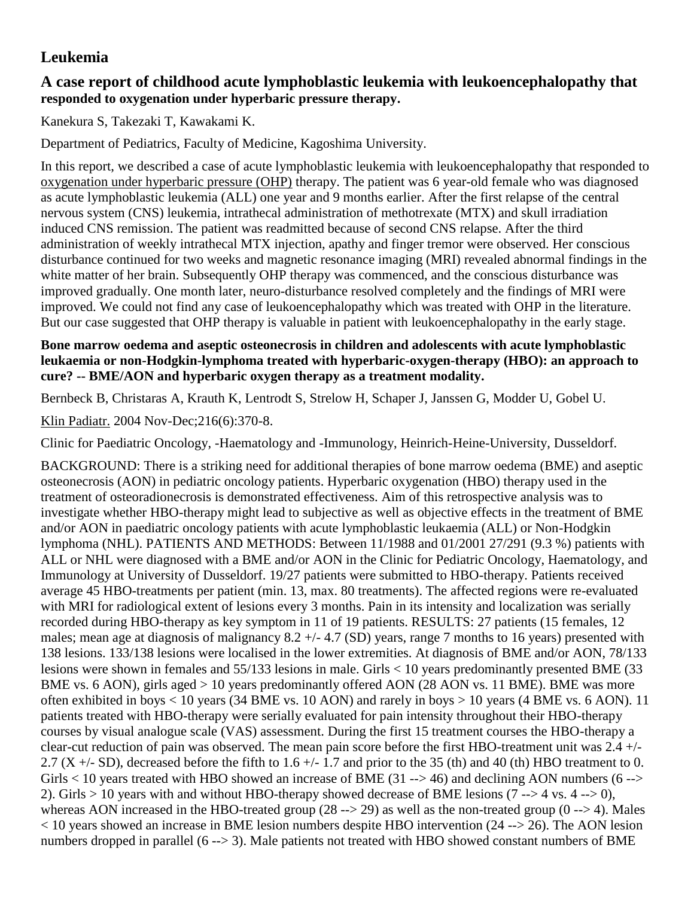## **Leukemia**

## **A case report of childhood acute lymphoblastic leukemia with leukoencephalopathy that responded to oxygenation under hyperbaric pressure therapy.**

Kanekura S, Takezaki T, Kawakami K.

Department of Pediatrics, Faculty of Medicine, Kagoshima University.

In this report, we described a case of acute lymphoblastic leukemia with leukoencephalopathy that responded to oxygenation under hyperbaric pressure (OHP) therapy. The patient was 6 year-old female who was diagnosed as acute lymphoblastic leukemia (ALL) one year and 9 months earlier. After the first relapse of the central nervous system (CNS) leukemia, intrathecal administration of methotrexate (MTX) and skull irradiation induced CNS remission. The patient was readmitted because of second CNS relapse. After the third administration of weekly intrathecal MTX injection, apathy and finger tremor were observed. Her conscious disturbance continued for two weeks and magnetic resonance imaging (MRI) revealed abnormal findings in the white matter of her brain. Subsequently OHP therapy was commenced, and the conscious disturbance was improved gradually. One month later, neuro-disturbance resolved completely and the findings of MRI were improved. We could not find any case of leukoencephalopathy which was treated with OHP in the literature. But our case suggested that OHP therapy is valuable in patient with leukoencephalopathy in the early stage.

## **Bone marrow oedema and aseptic osteonecrosis in children and adolescents with acute lymphoblastic leukaemia or non-Hodgkin-lymphoma treated with hyperbaric-oxygen-therapy (HBO): an approach to cure? -- BME/AON and hyperbaric oxygen therapy as a treatment modality.**

[Bernbeck B,](http://www.ncbi.nlm.nih.gov/entrez/query.fcgi?db=pubmed&cmd=Search&itool=pubmed_AbstractPlus&term=%22Bernbeck+B%22%5BAuthor%5D) [Christaras A,](http://www.ncbi.nlm.nih.gov/entrez/query.fcgi?db=pubmed&cmd=Search&itool=pubmed_AbstractPlus&term=%22Christaras+A%22%5BAuthor%5D) [Krauth K,](http://www.ncbi.nlm.nih.gov/entrez/query.fcgi?db=pubmed&cmd=Search&itool=pubmed_AbstractPlus&term=%22Krauth+K%22%5BAuthor%5D) [Lentrodt S,](http://www.ncbi.nlm.nih.gov/entrez/query.fcgi?db=pubmed&cmd=Search&itool=pubmed_AbstractPlus&term=%22Lentrodt+S%22%5BAuthor%5D) [Strelow H,](http://www.ncbi.nlm.nih.gov/entrez/query.fcgi?db=pubmed&cmd=Search&itool=pubmed_AbstractPlus&term=%22Strelow+H%22%5BAuthor%5D) [Schaper J,](http://www.ncbi.nlm.nih.gov/entrez/query.fcgi?db=pubmed&cmd=Search&itool=pubmed_AbstractPlus&term=%22Schaper+J%22%5BAuthor%5D) [Janssen G,](http://www.ncbi.nlm.nih.gov/entrez/query.fcgi?db=pubmed&cmd=Search&itool=pubmed_AbstractPlus&term=%22Janssen+G%22%5BAuthor%5D) [Modder U,](http://www.ncbi.nlm.nih.gov/entrez/query.fcgi?db=pubmed&cmd=Search&itool=pubmed_AbstractPlus&term=%22Modder+U%22%5BAuthor%5D) [Gobel U.](http://www.ncbi.nlm.nih.gov/entrez/query.fcgi?db=pubmed&cmd=Search&itool=pubmed_AbstractPlus&term=%22Gobel+U%22%5BAuthor%5D)

[Klin Padiatr.](javascript:AL_get(this,%20) 2004 Nov-Dec;216(6):370-8.

Clinic for Paediatric Oncology, -Haematology and -Immunology, Heinrich-Heine-University, Dusseldorf.

BACKGROUND: There is a striking need for additional therapies of bone marrow oedema (BME) and aseptic osteonecrosis (AON) in pediatric oncology patients. Hyperbaric oxygenation (HBO) therapy used in the treatment of osteoradionecrosis is demonstrated effectiveness. Aim of this retrospective analysis was to investigate whether HBO-therapy might lead to subjective as well as objective effects in the treatment of BME and/or AON in paediatric oncology patients with acute lymphoblastic leukaemia (ALL) or Non-Hodgkin lymphoma (NHL). PATIENTS AND METHODS: Between 11/1988 and 01/2001 27/291 (9.3 %) patients with ALL or NHL were diagnosed with a BME and/or AON in the Clinic for Pediatric Oncology, Haematology, and Immunology at University of Dusseldorf. 19/27 patients were submitted to HBO-therapy. Patients received average 45 HBO-treatments per patient (min. 13, max. 80 treatments). The affected regions were re-evaluated with MRI for radiological extent of lesions every 3 months. Pain in its intensity and localization was serially recorded during HBO-therapy as key symptom in 11 of 19 patients. RESULTS: 27 patients (15 females, 12 males; mean age at diagnosis of malignancy  $8.2 +/- 4.7$  (SD) years, range 7 months to 16 years) presented with 138 lesions. 133/138 lesions were localised in the lower extremities. At diagnosis of BME and/or AON, 78/133 lesions were shown in females and 55/133 lesions in male. Girls < 10 years predominantly presented BME (33 BME vs. 6 AON), girls aged > 10 years predominantly offered AON (28 AON vs. 11 BME). BME was more often exhibited in boys < 10 years (34 BME vs. 10 AON) and rarely in boys > 10 years (4 BME vs. 6 AON). 11 patients treated with HBO-therapy were serially evaluated for pain intensity throughout their HBO-therapy courses by visual analogue scale (VAS) assessment. During the first 15 treatment courses the HBO-therapy a clear-cut reduction of pain was observed. The mean pain score before the first HBO-treatment unit was 2.4 +/- 2.7 (X +/- SD), decreased before the fifth to 1.6 +/- 1.7 and prior to the 35 (th) and 40 (th) HBO treatment to 0. Girls  $<$  10 years treated with HBO showed an increase of BME (31 --> 46) and declining AON numbers (6 --> 2). Girls  $> 10$  years with and without HBO-therapy showed decrease of BME lesions (7 -- $> 4$  vs. 4 -- $> 0$ ), whereas AON increased in the HBO-treated group  $(28 \rightarrow 29)$  as well as the non-treated group  $(0 \rightarrow 4)$ . Males < 10 years showed an increase in BME lesion numbers despite HBO intervention (24 --> 26). The AON lesion numbers dropped in parallel (6 --> 3). Male patients not treated with HBO showed constant numbers of BME